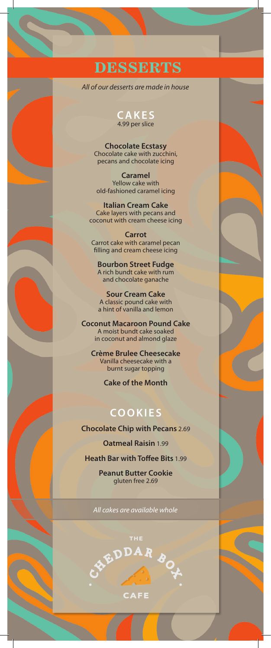# **DESSERTS**

*All of our desserts are made in house*

#### **C A K E S**  4.99 per slice

**Chocolate Ecstasy** Chocolate cake with zucchini, pecans and chocolate icing

**Caramel**  Yellow cake with old-fashioned caramel icing

**Italian Cream Cake**  Cake layers with pecans and coconut with cream cheese icing

**Carrot**  Carrot cake with caramel pecan filling and cream cheese icing

**Bourbon Street Fudge**  A rich bundt cake with rum and chocolate ganache

**Sour Cream Cake** A classic pound cake with a hint of vanilla and lemon

**Coconut Macaroon Pound Cake**  A moist bundt cake soaked in coconut and almond glaze

**Crème Brulee Cheesecake**  Vanilla cheesecake with a burnt sugar topping

**Cake of the Month** 

### **COOKIES**

**Chocolate Chip with Pecans** 2.69

**Oatmeal Raisin** 1.99

**Heath Bar with Toffee Bits** 1.99

**Peanut Butter Cookie**  gluten free 2.69

*All cakes are available whole*

**EXEDDAR BOY** 

**AFE**